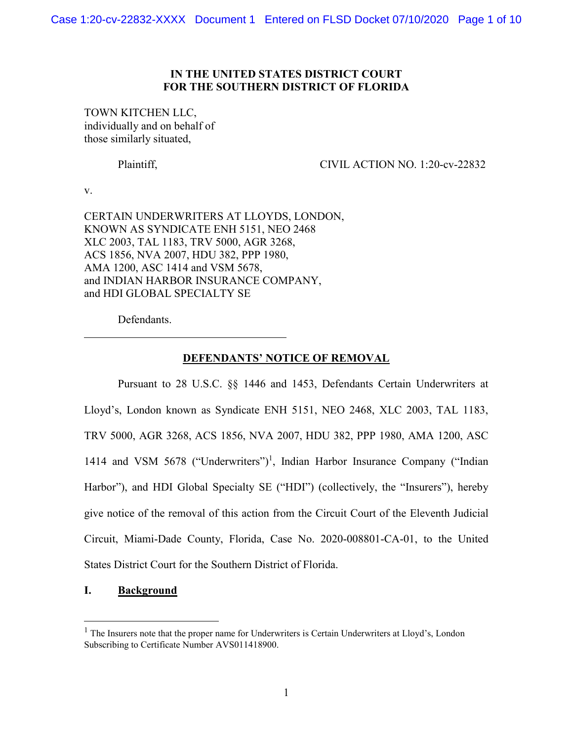## **IN THE UNITED STATES DISTRICT COURT FOR THE SOUTHERN DISTRICT OF FLORIDA**

TOWN KITCHEN LLC, individually and on behalf of those similarly situated,

Plaintiff, CIVIL ACTION NO. 1:20-cv-22832

v.

CERTAIN UNDERWRITERS AT LLOYDS, LONDON, KNOWN AS SYNDICATE ENH 5151, NEO 2468 XLC 2003, TAL 1183, TRV 5000, AGR 3268, ACS 1856, NVA 2007, HDU 382, PPP 1980, AMA 1200, ASC 1414 and VSM 5678, and INDIAN HARBOR INSURANCE COMPANY, and HDI GLOBAL SPECIALTY SE

Defendants.

# **DEFENDANTS' NOTICE OF REMOVAL**

Pursuant to 28 U.S.C. §§ 1446 and 1453, Defendants Certain Underwriters at Lloyd's, London known as Syndicate ENH 5151, NEO 2468, XLC 2003, TAL 1183, TRV 5000, AGR 3268, ACS 1856, NVA 2007, HDU 382, PPP 1980, AMA 1200, ASC [1](#page-0-0)414 and VSM 5678 ("Underwriters")<sup>1</sup>, Indian Harbor Insurance Company ("Indian Harbor"), and HDI Global Specialty SE ("HDI") (collectively, the "Insurers"), hereby give notice of the removal of this action from the Circuit Court of the Eleventh Judicial Circuit, Miami-Dade County, Florida, Case No. 2020-008801-CA-01, to the United States District Court for the Southern District of Florida.

## **I. Background**

<span id="page-0-0"></span> $<sup>1</sup>$  The Insurers note that the proper name for Underwriters is Certain Underwriters at Lloyd's, London</sup> Subscribing to Certificate Number AVS011418900.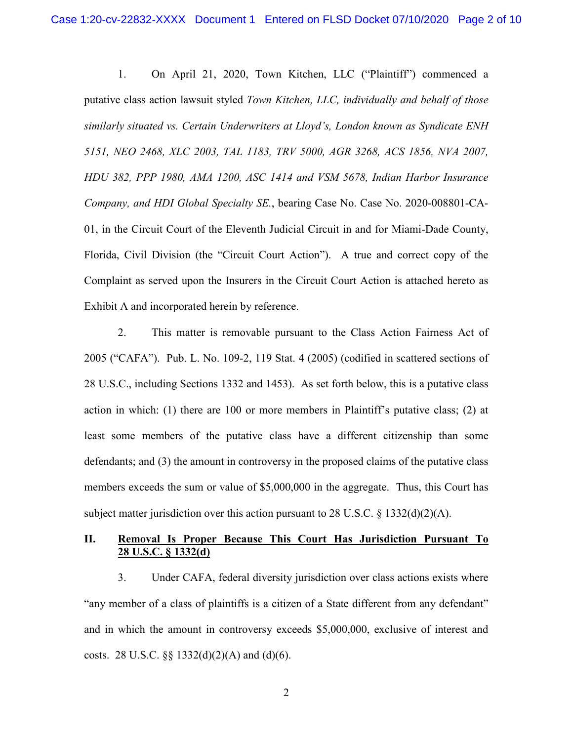1. On April 21, 2020, Town Kitchen, LLC ("Plaintiff") commenced a putative class action lawsuit styled *Town Kitchen, LLC, individually and behalf of those similarly situated vs. Certain Underwriters at Lloyd's, London known as Syndicate ENH 5151, NEO 2468, XLC 2003, TAL 1183, TRV 5000, AGR 3268, ACS 1856, NVA 2007, HDU 382, PPP 1980, AMA 1200, ASC 1414 and VSM 5678, Indian Harbor Insurance Company, and HDI Global Specialty SE.*, bearing Case No. Case No. 2020-008801-CA-01, in the Circuit Court of the Eleventh Judicial Circuit in and for Miami-Dade County, Florida, Civil Division (the "Circuit Court Action"). A true and correct copy of the Complaint as served upon the Insurers in the Circuit Court Action is attached hereto as Exhibit A and incorporated herein by reference.

2. This matter is removable pursuant to the Class Action Fairness Act of 2005 ("CAFA"). Pub. L. No. 109-2, 119 Stat. 4 (2005) (codified in scattered sections of 28 U.S.C., including Sections 1332 and 1453). As set forth below, this is a putative class action in which: (1) there are 100 or more members in Plaintiff's putative class; (2) at least some members of the putative class have a different citizenship than some defendants; and (3) the amount in controversy in the proposed claims of the putative class members exceeds the sum or value of \$5,000,000 in the aggregate. Thus, this Court has subject matter jurisdiction over this action pursuant to 28 U.S.C.  $\S$  1332(d)(2)(A).

## **II. Removal Is Proper Because This Court Has Jurisdiction Pursuant To 28 U.S.C. § 1332(d)**

3. Under CAFA, federal diversity jurisdiction over class actions exists where "any member of a class of plaintiffs is a citizen of a State different from any defendant" and in which the amount in controversy exceeds \$5,000,000, exclusive of interest and costs. 28 U.S.C.  $\S$   $\S$  1332(d)(2)(A) and (d)(6).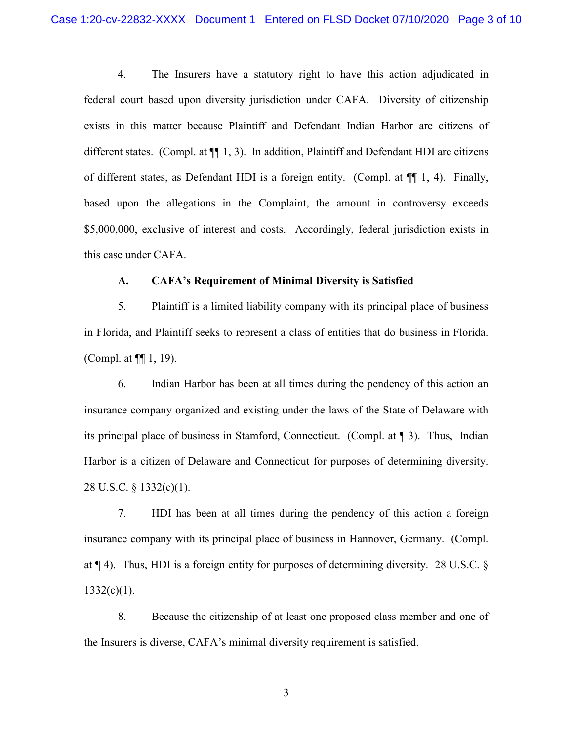4. The Insurers have a statutory right to have this action adjudicated in federal court based upon diversity jurisdiction under CAFA. Diversity of citizenship exists in this matter because Plaintiff and Defendant Indian Harbor are citizens of different states. (Compl. at  $\P$ [1, 3). In addition, Plaintiff and Defendant HDI are citizens of different states, as Defendant HDI is a foreign entity. (Compl. at  $\P$  1, 4). Finally, based upon the allegations in the Complaint, the amount in controversy exceeds \$5,000,000, exclusive of interest and costs. Accordingly, federal jurisdiction exists in this case under CAFA.

## **A. CAFA's Requirement of Minimal Diversity is Satisfied**

5. Plaintiff is a limited liability company with its principal place of business in Florida, and Plaintiff seeks to represent a class of entities that do business in Florida. (Compl. at ¶¶ 1, 19).

6. Indian Harbor has been at all times during the pendency of this action an insurance company organized and existing under the laws of the State of Delaware with its principal place of business in Stamford, Connecticut. (Compl. at ¶ 3). Thus, Indian Harbor is a citizen of Delaware and Connecticut for purposes of determining diversity. 28 U.S.C. § 1332(c)(1).

7. HDI has been at all times during the pendency of this action a foreign insurance company with its principal place of business in Hannover, Germany. (Compl. at ¶ 4). Thus, HDI is a foreign entity for purposes of determining diversity. 28 U.S.C. §  $1332(c)(1)$ .

8. Because the citizenship of at least one proposed class member and one of the Insurers is diverse, CAFA's minimal diversity requirement is satisfied.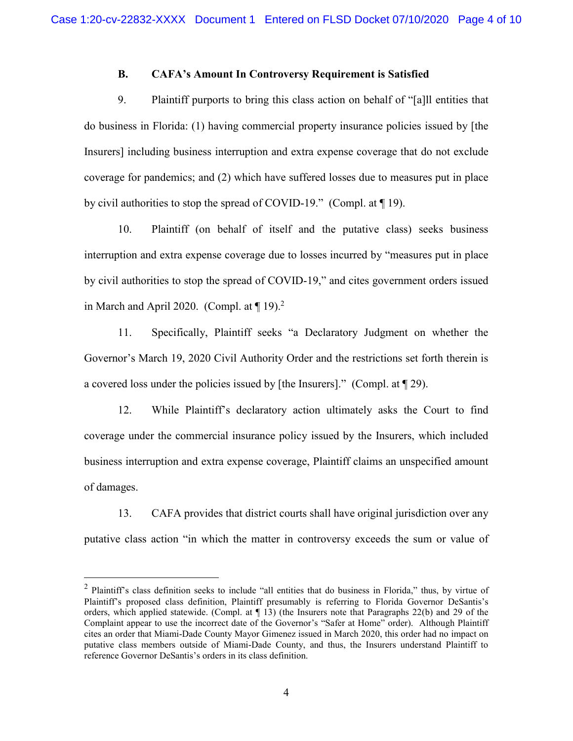## **B. CAFA's Amount In Controversy Requirement is Satisfied**

9. Plaintiff purports to bring this class action on behalf of "[a]ll entities that do business in Florida: (1) having commercial property insurance policies issued by [the Insurers] including business interruption and extra expense coverage that do not exclude coverage for pandemics; and (2) which have suffered losses due to measures put in place by civil authorities to stop the spread of COVID-19." (Compl. at ¶ 19).

10. Plaintiff (on behalf of itself and the putative class) seeks business interruption and extra expense coverage due to losses incurred by "measures put in place by civil authorities to stop the spread of COVID-19," and cites government orders issued in March and April 2020. (Compl. at  $\P$  19).<sup>2</sup>

11. Specifically, Plaintiff seeks "a Declaratory Judgment on whether the Governor's March 19, 2020 Civil Authority Order and the restrictions set forth therein is a covered loss under the policies issued by [the Insurers]." (Compl. at ¶ 29).

12. While Plaintiff's declaratory action ultimately asks the Court to find coverage under the commercial insurance policy issued by the Insurers, which included business interruption and extra expense coverage, Plaintiff claims an unspecified amount of damages.

13. CAFA provides that district courts shall have original jurisdiction over any putative class action "in which the matter in controversy exceeds the sum or value of

<span id="page-3-0"></span><sup>&</sup>lt;sup>2</sup> Plaintiff's class definition seeks to include "all entities that do business in Florida," thus, by virtue of Plaintiff's proposed class definition, Plaintiff presumably is referring to Florida Governor DeSantis's orders, which applied statewide. (Compl. at ¶ 13) (the Insurers note that Paragraphs 22(b) and 29 of the Complaint appear to use the incorrect date of the Governor's "Safer at Home" order). Although Plaintiff cites an order that Miami-Dade County Mayor Gimenez issued in March 2020, this order had no impact on putative class members outside of Miami-Dade County, and thus, the Insurers understand Plaintiff to reference Governor DeSantis's orders in its class definition.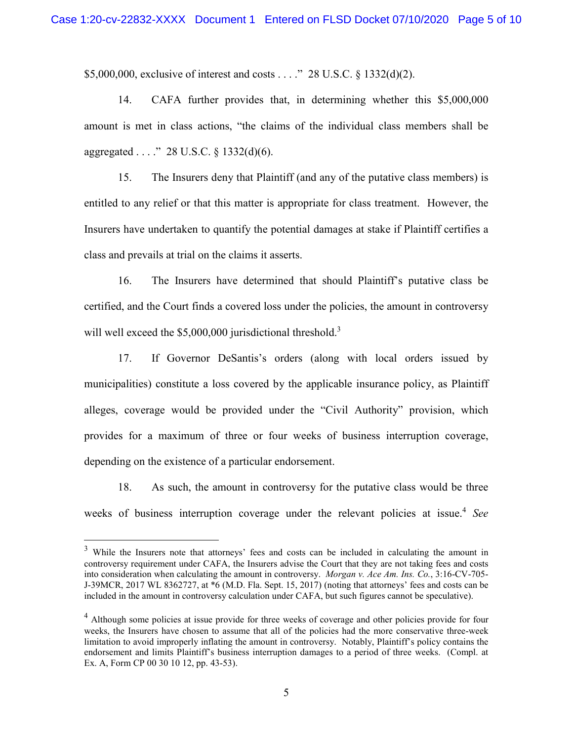\$5,000,000, exclusive of interest and costs . . . ." 28 U.S.C. § 1332(d)(2).

14. CAFA further provides that, in determining whether this \$5,000,000 amount is met in class actions, "the claims of the individual class members shall be aggregated . . . ." 28 U.S.C. § 1332(d)(6).

15. The Insurers deny that Plaintiff (and any of the putative class members) is entitled to any relief or that this matter is appropriate for class treatment. However, the Insurers have undertaken to quantify the potential damages at stake if Plaintiff certifies a class and prevails at trial on the claims it asserts.

16. The Insurers have determined that should Plaintiff's putative class be certified, and the Court finds a covered loss under the policies, the amount in controversy will well exceed the  $$5,000,000$  jurisdictional threshold.<sup>3</sup>

17. If Governor DeSantis's orders (along with local orders issued by municipalities) constitute a loss covered by the applicable insurance policy, as Plaintiff alleges, coverage would be provided under the "Civil Authority" provision, which provides for a maximum of three or four weeks of business interruption coverage, depending on the existence of a particular endorsement.

18. As such, the amount in controversy for the putative class would be three weeks of business interruption coverage under the relevant policies at issue.<sup>[4](#page-4-1)</sup> See

<span id="page-4-0"></span><sup>&</sup>lt;sup>3</sup> While the Insurers note that attorneys' fees and costs can be included in calculating the amount in controversy requirement under CAFA, the Insurers advise the Court that they are not taking fees and costs into consideration when calculating the amount in controversy. *Morgan v. Ace Am. Ins. Co.*, 3:16-CV-705- J-39MCR, 2017 WL 8362727, at \*6 (M.D. Fla. Sept. 15, 2017) (noting that attorneys' fees and costs can be included in the amount in controversy calculation under CAFA, but such figures cannot be speculative).

<span id="page-4-1"></span><sup>&</sup>lt;sup>4</sup> Although some policies at issue provide for three weeks of coverage and other policies provide for four weeks, the Insurers have chosen to assume that all of the policies had the more conservative three-week limitation to avoid improperly inflating the amount in controversy. Notably, Plaintiff's policy contains the endorsement and limits Plaintiff's business interruption damages to a period of three weeks. (Compl. at Ex. A, Form CP 00 30 10 12, pp. 43-53).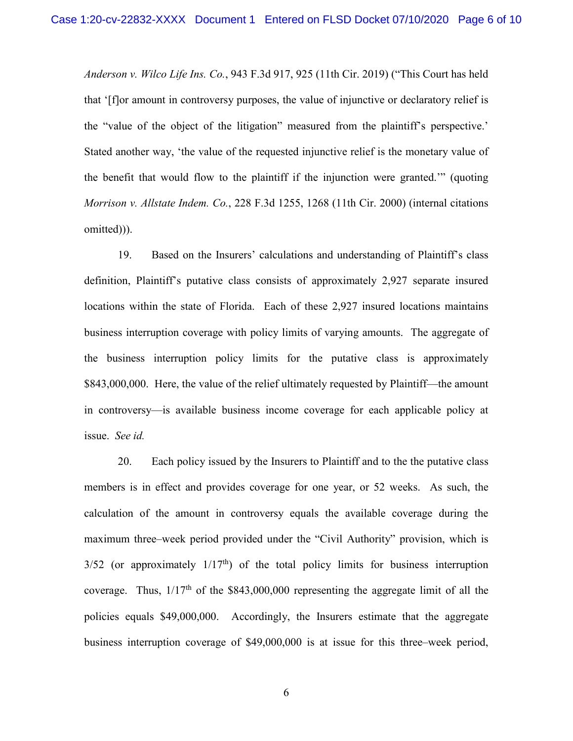*Anderson v. Wilco Life Ins. Co.*, 943 F.3d 917, 925 (11th Cir. 2019) ("This Court has held that '[f]or amount in controversy purposes, the value of injunctive or declaratory relief is the "value of the object of the litigation" measured from the plaintiff's perspective.' Stated another way, 'the value of the requested injunctive relief is the monetary value of the benefit that would flow to the plaintiff if the injunction were granted.'" (quoting *Morrison v. Allstate Indem. Co.*, 228 F.3d 1255, 1268 (11th Cir. 2000) (internal citations omitted))).

19. Based on the Insurers' calculations and understanding of Plaintiff's class definition, Plaintiff's putative class consists of approximately 2,927 separate insured locations within the state of Florida. Each of these 2,927 insured locations maintains business interruption coverage with policy limits of varying amounts. The aggregate of the business interruption policy limits for the putative class is approximately \$843,000,000. Here, the value of the relief ultimately requested by Plaintiff—the amount in controversy—is available business income coverage for each applicable policy at issue. *See id.* 

20. Each policy issued by the Insurers to Plaintiff and to the the putative class members is in effect and provides coverage for one year, or 52 weeks. As such, the calculation of the amount in controversy equals the available coverage during the maximum three–week period provided under the "Civil Authority" provision, which is  $3/52$  (or approximately  $1/17<sup>th</sup>$ ) of the total policy limits for business interruption coverage. Thus,  $1/17<sup>th</sup>$  of the \$843,000,000 representing the aggregate limit of all the policies equals \$49,000,000. Accordingly, the Insurers estimate that the aggregate business interruption coverage of \$49,000,000 is at issue for this three–week period,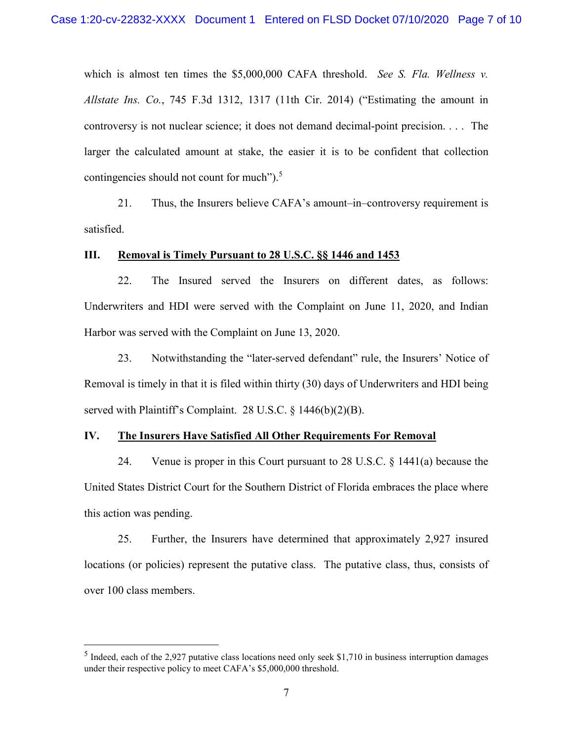which is almost ten times the \$5,000,000 CAFA threshold. *See S. Fla. Wellness v. Allstate Ins. Co.*, 745 F.3d 1312, 1317 (11th Cir. 2014) ("Estimating the amount in controversy is not nuclear science; it does not demand decimal-point precision. . . . The larger the calculated amount at stake, the easier it is to be confident that collection contingencies should not count for much").<sup>[5](#page-6-0)</sup>

21. Thus, the Insurers believe CAFA's amount–in–controversy requirement is satisfied.

## **III. Removal is Timely Pursuant to 28 U.S.C. §§ 1446 and 1453**

22. The Insured served the Insurers on different dates, as follows: Underwriters and HDI were served with the Complaint on June 11, 2020, and Indian Harbor was served with the Complaint on June 13, 2020.

23. Notwithstanding the "later-served defendant" rule, the Insurers' Notice of Removal is timely in that it is filed within thirty (30) days of Underwriters and HDI being served with Plaintiff's Complaint. 28 U.S.C. § 1446(b)(2)(B).

## **IV. The Insurers Have Satisfied All Other Requirements For Removal**

24. Venue is proper in this Court pursuant to 28 U.S.C. § 1441(a) because the United States District Court for the Southern District of Florida embraces the place where this action was pending.

25. Further, the Insurers have determined that approximately 2,927 insured locations (or policies) represent the putative class. The putative class, thus, consists of over 100 class members.

<span id="page-6-0"></span> $<sup>5</sup>$  Indeed, each of the 2,927 putative class locations need only seek \$1,710 in business interruption damages</sup> under their respective policy to meet CAFA's \$5,000,000 threshold.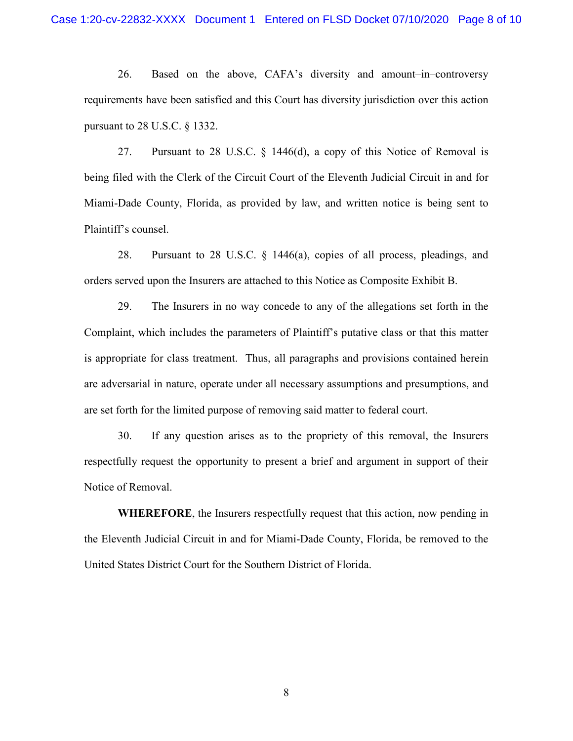26. Based on the above, CAFA's diversity and amount–in–controversy requirements have been satisfied and this Court has diversity jurisdiction over this action pursuant to 28 U.S.C. § 1332.

27. Pursuant to 28 U.S.C. § 1446(d), a copy of this Notice of Removal is being filed with the Clerk of the Circuit Court of the Eleventh Judicial Circuit in and for Miami-Dade County, Florida, as provided by law, and written notice is being sent to Plaintiff's counsel.

28. Pursuant to 28 U.S.C. § 1446(a), copies of all process, pleadings, and orders served upon the Insurers are attached to this Notice as Composite Exhibit B.

29. The Insurers in no way concede to any of the allegations set forth in the Complaint, which includes the parameters of Plaintiff's putative class or that this matter is appropriate for class treatment. Thus, all paragraphs and provisions contained herein are adversarial in nature, operate under all necessary assumptions and presumptions, and are set forth for the limited purpose of removing said matter to federal court.

30. If any question arises as to the propriety of this removal, the Insurers respectfully request the opportunity to present a brief and argument in support of their Notice of Removal.

**WHEREFORE**, the Insurers respectfully request that this action, now pending in the Eleventh Judicial Circuit in and for Miami-Dade County, Florida, be removed to the United States District Court for the Southern District of Florida.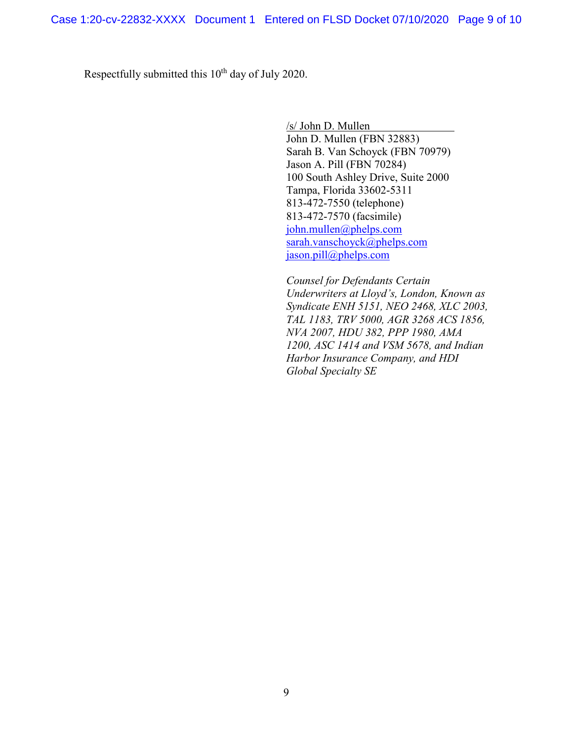Respectfully submitted this  $10<sup>th</sup>$  day of July 2020.

/s/ John D. Mullen John D. Mullen (FBN 32883) Sarah B. Van Schoyck (FBN 70979) Jason A. Pill (FBN 70284) 100 South Ashley Drive, Suite 2000 Tampa, Florida 33602-5311 813-472-7550 (telephone) 813-472-7570 (facsimile) [john.mullen@phelps.com](mailto:john.mullen@phelps.com) [sarah.vanschoyck@phelps.com](mailto:sarah.vanschoyck@phelps.com) [jason.pill@phelps.com](mailto:jason.pill@phelps.com)

*Counsel for Defendants Certain Underwriters at Lloyd's, London, Known as Syndicate ENH 5151, NEO 2468, XLC 2003, TAL 1183, TRV 5000, AGR 3268 ACS 1856, NVA 2007, HDU 382, PPP 1980, AMA 1200, ASC 1414 and VSM 5678, and Indian Harbor Insurance Company, and HDI Global Specialty SE*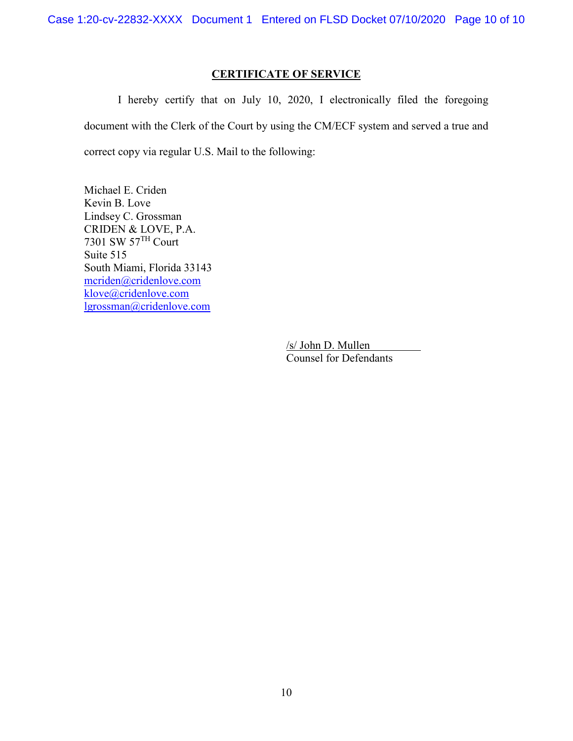Case 1:20-cv-22832-XXXX Document 1 Entered on FLSD Docket 07/10/2020 Page 10 of 10

# **CERTIFICATE OF SERVICE**

I hereby certify that on July 10, 2020, I electronically filed the foregoing document with the Clerk of the Court by using the CM/ECF system and served a true and correct copy via regular U.S. Mail to the following:

Michael E. Criden Kevin B. Love Lindsey C. Grossman CRIDEN & LOVE, P.A. 7301 SW 57TH Court Suite 515 South Miami, Florida 33143 [mcriden@cridenlove.com](mailto:mcriden@cridenlove.com) [klove@cridenlove.com](mailto:klove@cridenlove.com) [lgrossman@cridenlove.com](mailto:lgrossman@cridenlove.com)

> /s/ John D. Mullen Counsel for Defendants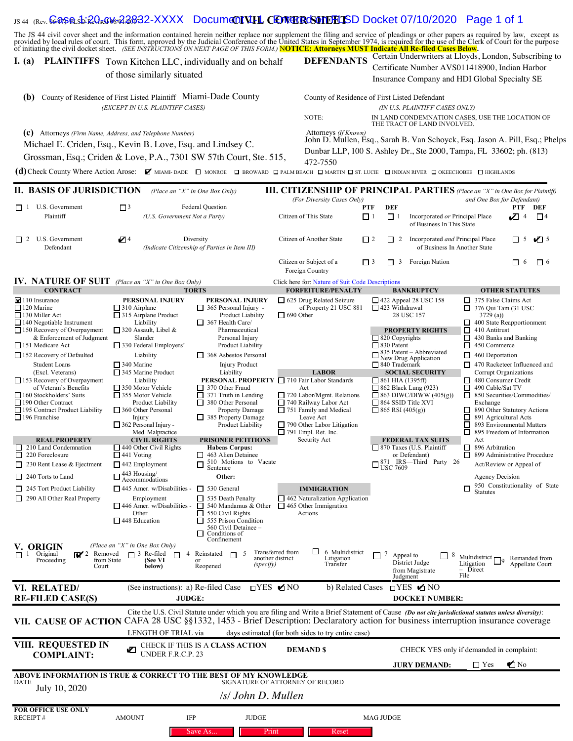# IS44 (Rev. **Case S. 20-cV & 22832-XXXX** Document VIII CENTER CSONTHISD Docket 07/10/2020 Page 1 of 1

The JS 44 civil cover sheet and the information contained herein neither replace nor supplement the filing and service of pleadings or other papers as required by law, except as provided by local rules of court. This form,

## **I.** (a) PLAINTIFFS Town Kitchen LLC, individually and on behalf DEFENDANTS

of those similarly situated

Certain Underwriters at Lloyds, London, Subscribing to Certificate Number AVS011418900, Indian Harbor Insurance Company and HDI Global Specialty SE

| County of Residence of First Listed Plaintiff Miami-Dade County<br>(b)<br>(EXCEPT IN U.S. PLAINTIFF CASES)                                                                                                                                                                                                                                                | County of Residence of First Listed Defendant<br>(IN U.S. PLAINTIFF CASES ONLY)<br>IN LAND CONDEMNATION CASES, USE THE LOCATION OF<br>NOTE:<br>THE TRACT OF LAND INVOLVED.                                                                                                                                     |
|-----------------------------------------------------------------------------------------------------------------------------------------------------------------------------------------------------------------------------------------------------------------------------------------------------------------------------------------------------------|----------------------------------------------------------------------------------------------------------------------------------------------------------------------------------------------------------------------------------------------------------------------------------------------------------------|
| Attorneys (Firm Name, Address, and Telephone Number)<br>(c)<br>Michael E. Criden, Esq., Kevin B. Love, Esq. and Lindsey C.<br>Grossman, Esq.; Criden & Love, P.A., 7301 SW 57th Court, Ste. 515,<br>(d) Check County Where Action Arose: <b>M</b> miami-dade I monroe I broward D palm beach I martin I st. lucie I indian river I okeechobee I highlands | Attorneys (If Known)<br>John D. Mullen, Esq., Sarah B. Van Schoyck, Esq. Jason A. Pill, Esq.; Phelps<br>Dunbar LLP, 100 S. Ashley Dr., Ste 2000, Tampa, FL 33602; ph. (813)<br>472-7550                                                                                                                        |
| II. BASIS OF JURISDICTION<br>(Place an "X" in One Box Only)<br>Federal Question<br>$\Box$ 3<br>П 1<br>U.S. Government<br>Plaintiff<br>(U.S. Government Not a Party)                                                                                                                                                                                       | <b>III. CITIZENSHIP OF PRINCIPAL PARTIES</b> (Place an "X" in One Box for Plaintiff)<br>(For Diversity Cases Only)<br>and One Box for Defendant)<br><b>PTF</b><br>DEF<br>DEF<br>PTF<br>Citizen of This State<br>Incorporated or Principal Place<br>$\mathbb{Z}$ 4<br>$\Box$<br>П.<br>of Buginess In This State |

| <b>II. BASIS OF JURISDICTION</b>                                                                                                   |                                                                                                      | (Place an "X" in One Box Only)                                                                                                                                                | <b>III. CITIZENSHIP OF PRINCIPAL PARTIES</b> (Place an "X" in One Box for Plaintiff)                                                                                                                      |                  |                                                                                                                                                                                                                                             |                                                                               |                                                                                                   |                         |                                  |
|------------------------------------------------------------------------------------------------------------------------------------|------------------------------------------------------------------------------------------------------|-------------------------------------------------------------------------------------------------------------------------------------------------------------------------------|-----------------------------------------------------------------------------------------------------------------------------------------------------------------------------------------------------------|------------------|---------------------------------------------------------------------------------------------------------------------------------------------------------------------------------------------------------------------------------------------|-------------------------------------------------------------------------------|---------------------------------------------------------------------------------------------------|-------------------------|----------------------------------|
|                                                                                                                                    |                                                                                                      |                                                                                                                                                                               | (For Diversity Cases Only)<br>and One Box for Defendant)                                                                                                                                                  |                  |                                                                                                                                                                                                                                             |                                                                               |                                                                                                   |                         |                                  |
| U.S. Government<br>$\Box$ 1<br>Plaintiff                                                                                           | $\square$<br>(U.S. Government Not a Party)                                                           | <b>Federal Question</b>                                                                                                                                                       | Citizen of This State                                                                                                                                                                                     | PTF<br>$\Box$ 1  | <b>DEF</b><br>$\Box$ <sup>1</sup>                                                                                                                                                                                                           | Incorporated or Principal Place<br>of Business In This State                  |                                                                                                   | PTF<br>$\sqrt{14}$      | DEF<br>$\Box$ <sup>4</sup>       |
| $\Box$ 2 U.S. Government<br>Defendant                                                                                              | Z 4                                                                                                  | Diversity<br>(Indicate Citizenship of Parties in Item III)                                                                                                                    |                                                                                                                                                                                                           | $\Box$ 2         | $\Box$ 2                                                                                                                                                                                                                                    | Incorporated and Principal Place<br>of Business In Another State              |                                                                                                   | $\Box$ 5                | $\sqrt{2}$ 5                     |
|                                                                                                                                    |                                                                                                      |                                                                                                                                                                               | Citizen or Subject of a<br>Foreign Country                                                                                                                                                                | $\Box$ 3         | $\Box$ 3                                                                                                                                                                                                                                    | Foreign Nation                                                                |                                                                                                   | □ 6                     | $\Box$ 6                         |
| <b>IV. NATURE OF SUIT</b> (Place an "X" in One Box Only)                                                                           |                                                                                                      | Click here for: Nature of Suit Code Descriptions                                                                                                                              |                                                                                                                                                                                                           |                  |                                                                                                                                                                                                                                             |                                                                               |                                                                                                   |                         |                                  |
| <b>CONTRACT</b>                                                                                                                    |                                                                                                      | <b>TORTS</b>                                                                                                                                                                  | <b>FORFEITURE/PENALTY</b>                                                                                                                                                                                 |                  |                                                                                                                                                                                                                                             | <b>BANKRUPTCY</b>                                                             |                                                                                                   | <b>OTHER STATUTES</b>   |                                  |
| $\angle 110$ Insurance<br>$\Box$ 120 Marine<br>$\Box$ 130 Miller Act<br>$\Box$ 140 Negotiable Instrument                           | <b>PERSONAL INJURY</b><br>$\Box$ 310 Airplane<br>$\Box$ 315 Airplane Product<br>Liability            | PERSONAL INJURY<br>$\Box$ 365 Personal Injury -<br>Product Liability<br>$\Box$ 367 Health Care/                                                                               | $\Box$ 625 Drug Related Seizure<br>of Property 21 USC 881<br>$\Box$ 690 Other                                                                                                                             |                  | $\Box$ 423 Withdrawal                                                                                                                                                                                                                       | $\Box$ 422 Appeal 28 USC 158<br>28 USC 157                                    | 375 False Claims Act<br>$\Box$ 376 Qui Tam (31 USC<br>3729(a)<br>$\Box$ 400 State Reapportionment |                         |                                  |
| $\Box$ 150 Recovery of Overpayment<br>& Enforcement of Judgment<br>151 Medicare Act                                                | $\Box$ 320 Assault, Libel &<br>Slander<br>$\Box$ 330 Federal Employers'                              | Pharmaceutical<br>Personal Injury<br><b>Product Liability</b>                                                                                                                 |                                                                                                                                                                                                           |                  | $\Box$ 820 Copyrights<br>$\Box$ 830 Patent                                                                                                                                                                                                  | <b>PROPERTY RIGHTS</b>                                                        | $\Box$ 410 Antitrust<br>$\Box$ 430 Banks and Banking<br>$\Box$ 450 Commerce                       |                         |                                  |
| □ 152 Recovery of Defaulted<br><b>Student Loans</b>                                                                                | Liability<br>$\Box$ 340 Marine                                                                       | $\Box$ 368 Asbestos Personal<br><b>Injury Product</b>                                                                                                                         |                                                                                                                                                                                                           |                  | □ 840 Trademark                                                                                                                                                                                                                             | $\frac{835 \text{ Patent} - \text{Abbreviated}}{\text{New Drug Application}}$ | $\Box$ 460 Deportation<br>470 Racketeer Influenced and                                            |                         |                                  |
| (Excl. Veterans)<br>$\Box$ 153 Recovery of Overpayment<br>of Veteran's Benefits                                                    | $\Box$ 345 Marine Product<br>Liability<br>350 Motor Vehicle                                          | Liability<br>370 Other Fraud                                                                                                                                                  | <b>LABOR</b><br>PERSONAL PROPERTY □ 710 Fair Labor Standards<br>Act                                                                                                                                       |                  | $\Box$ 861 HIA (1395ff)                                                                                                                                                                                                                     | <b>SOCIAL SECURITY</b><br>$\Box$ 862 Black Lung (923)                         | 480 Consumer Credit<br>□<br>490 Cable/Sat TV                                                      | Corrupt Organizations   |                                  |
| $\Box$ 160 Stockholders' Suits<br>190 Other Contract                                                                               | 355 Motor Vehicle<br>Product Liability                                                               | $\Box$ 371 Truth in Lending<br>380 Other Personal                                                                                                                             | $\Box$ 720 Labor/Mgmt. Relations<br>740 Railway Labor Act                                                                                                                                                 |                  | $\Box$ 863 DIWC/DIWW (405(g))<br>$\Box$ 850 Securities/Commodities/<br>$\Box$ 864 SSID Title XVI<br>Exchange<br>$\Box$ 865 RSI (405(g))<br>890 Other Statutory Actions<br>891 Agricultural Acts<br>□<br>$\Box$<br>893 Environmental Matters |                                                                               |                                                                                                   |                         |                                  |
| □ 195 Contract Product Liability<br>$\Box$ 196 Franchise                                                                           | $\Box$ 360 Other Personal<br>Injury<br>$\Box$ 362 Personal Injury -                                  | Property Damage<br>385 Property Damage<br>Product Liability                                                                                                                   | $\Box$ 751 Family and Medical<br>Leave Act<br>$\Box$ 790 Other Labor Litigation                                                                                                                           |                  |                                                                                                                                                                                                                                             |                                                                               |                                                                                                   |                         |                                  |
|                                                                                                                                    | Med. Malpractice                                                                                     |                                                                                                                                                                               | $\Box$ 791 Empl. Ret. Inc.                                                                                                                                                                                |                  |                                                                                                                                                                                                                                             |                                                                               | $\Box$ 895 Freedom of Information                                                                 |                         |                                  |
| <b>REAL PROPERTY</b><br>$\Box$ 210 Land Condemnation<br>□<br>220 Foreclosure                                                       | <b>CIVIL RIGHTS</b><br>$\Box$ 440 Other Civil Rights<br>$\Box$ 441 Voting                            | <b>PRISONER PETITIONS</b><br><b>Habeas Corpus:</b><br>463 Alien Detainee<br>ப<br>510 Motions to Vacate<br>$\Box$                                                              | Security Act                                                                                                                                                                                              |                  |                                                                                                                                                                                                                                             | <b>FEDERAL TAX SUITS</b><br>$\Box$ 870 Taxes (U.S. Plaintiff<br>or Defendant) | Act<br>$\Box$ 896 Arbitration<br>□ 899 Administrative Procedure                                   |                         |                                  |
| 230 Rent Lease & Ejectment<br>$\Box$<br>240 Torts to Land<br>□                                                                     | $\Box$ 442 Employment<br>$\square$ 443 Housing/<br>Accommodations                                    | Sentence<br>Other:                                                                                                                                                            |                                                                                                                                                                                                           |                  |                                                                                                                                                                                                                                             | $\square_{\text{USC}}^{871}$ IRS—Third Party 26                               | <b>Agency Decision</b>                                                                            | Act/Review or Appeal of |                                  |
| 245 Tort Product Liability<br>□                                                                                                    | $\Box$ 445 Amer. w/Disabilities -                                                                    | $\Box$ 530 General                                                                                                                                                            | <b>IMMIGRATION</b>                                                                                                                                                                                        |                  |                                                                                                                                                                                                                                             |                                                                               | □<br><b>Statutes</b>                                                                              |                         | 950 Constitutionality of State   |
| $\Box$ 290 All Other Real Property                                                                                                 | Employment<br>$\Box$ 446 Amer. w/Disabilities -<br>Other<br>$\Box$ 448 Education                     | $\Box$ 535 Death Penalty<br>□<br>540 Mandamus & Other<br>□<br>550 Civil Rights<br>П<br>555 Prison Condition<br>560 Civil Detainee -<br>Conditions of<br>$\Box$<br>Confinement | $\Box$ 462 Naturalization Application<br>$\Box$ 465 Other Immigration<br>Actions                                                                                                                          |                  |                                                                                                                                                                                                                                             |                                                                               |                                                                                                   |                         |                                  |
| V. ORIGIN<br>$\mathbb{Z}^2$ Removed<br>1 Original<br>П<br>from State<br>Proceeding<br>Court                                        | (Place an "X" in One Box Only)<br>$\Box$ 3 Re-filed<br>$\overline{4}$<br>$\Box$<br>(See VI<br>below) | 5<br>Reinstated<br>$\Box$<br>or<br>(specify)<br>Reopened                                                                                                                      | $\Box$<br>6 Multidistrict<br>Transferred from<br>another district<br>Litigation<br>Transfer                                                                                                               |                  | 7<br>Appeal to<br>Judgment                                                                                                                                                                                                                  | 8<br>District Judge<br>from Magistrate                                        | Multidistrict $\Box$ 9<br>Litigation<br>Direct<br>File                                            |                         | Remanded from<br>Appellate Court |
| VI. RELATED/<br><b>RE-FILED CASE(S)</b>                                                                                            | (See instructions): a) Re-filed Case                                                                 | <b>JUDGE:</b>                                                                                                                                                                 | $T0YES \n\blacksquare NO$                                                                                                                                                                                 | b) Related Cases |                                                                                                                                                                                                                                             | $DYES \n\blacksquare NO$<br><b>DOCKET NUMBER:</b>                             |                                                                                                   |                         |                                  |
| VII. CAUSE OF ACTION CAFA 28 USC §§1332, 1453 - Brief Description: Declaratory action for business interruption insurance coverage | LENGTH OF TRIAL via                                                                                  |                                                                                                                                                                               | Cite the U.S. Civil Statute under which you are filing and Write a Brief Statement of Cause (Do not cite jurisdictional statutes unless diversity):<br>days estimated (for both sides to try entire case) |                  |                                                                                                                                                                                                                                             |                                                                               |                                                                                                   |                         |                                  |
| VIII. REQUESTED IN<br><b>COMPLAINT:</b>                                                                                            |                                                                                                      | CHECK IF THIS IS A CLASS ACTION UNDER F.R.C.P. 23                                                                                                                             | <b>DEMAND \$</b>                                                                                                                                                                                          |                  |                                                                                                                                                                                                                                             | CHECK YES only if demanded in complaint:                                      |                                                                                                   |                         |                                  |
|                                                                                                                                    |                                                                                                      |                                                                                                                                                                               |                                                                                                                                                                                                           |                  |                                                                                                                                                                                                                                             | <b>JURY DEMAND:</b>                                                           | $\Box$ Yes                                                                                        | $\blacksquare$ No       |                                  |
| ABOVE INFORMATION IS TRUE & CORRECT TO THE BEST OF MY KNOWLEDGE<br>DATE<br>July 10, 2020                                           |                                                                                                      |                                                                                                                                                                               | SIGNATURE OF ATTORNEY OF RECORD                                                                                                                                                                           |                  |                                                                                                                                                                                                                                             |                                                                               |                                                                                                   |                         |                                  |
|                                                                                                                                    |                                                                                                      | /s/ John D. Mullen                                                                                                                                                            |                                                                                                                                                                                                           |                  |                                                                                                                                                                                                                                             |                                                                               |                                                                                                   |                         |                                  |
| FOR OFFICE USE ONLY<br><b>RECEIPT#</b>                                                                                             | <b>AMOUNT</b>                                                                                        | <b>JUDGE</b><br>IFP                                                                                                                                                           |                                                                                                                                                                                                           |                  | MAG JUDGE                                                                                                                                                                                                                                   |                                                                               |                                                                                                   |                         |                                  |

Save As... Print Reset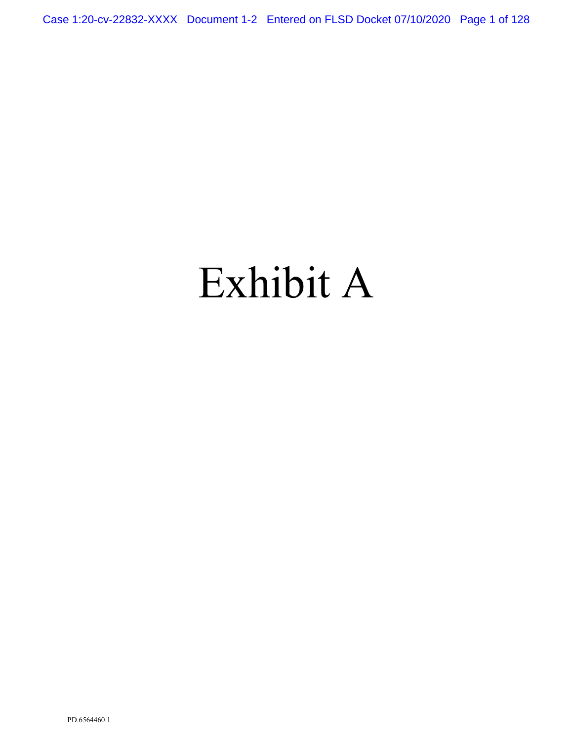Case 1:20-cv-22832-XXXX Document 1-2 Entered on FLSD Docket 07/10/2020 Page 1 of 128

# Exhibit A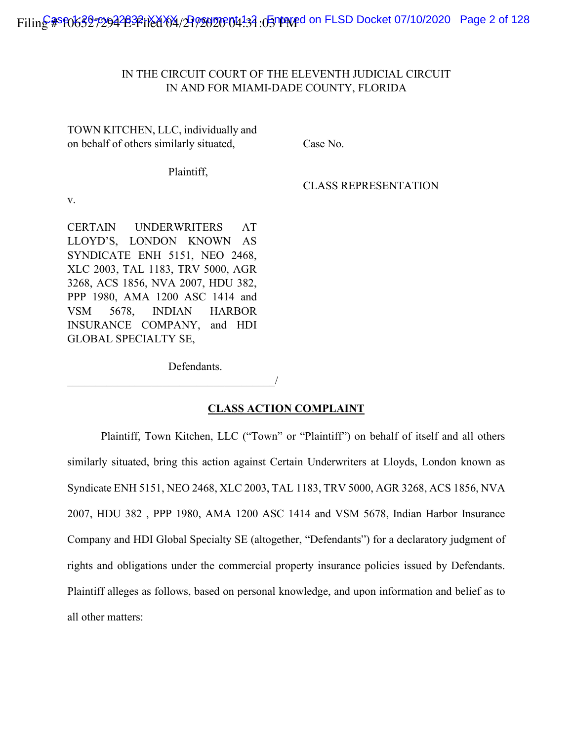# IN THE CIRCUIT COURT OF THE ELEVENTH JUDICIAL CIRCUIT IN AND FOR MIAMI-DADE COUNTY, FLORIDA

TOWN KITCHEN, LLC, individually and on behalf of others similarly situated, Case No.

Plaintiff,

CLASS REPRESENTATION

v.

CERTAIN UNDERWRITERS AT LLOYD'S, LONDON KNOWN AS SYNDICATE ENH 5151, NEO 2468, XLC 2003, TAL 1183, TRV 5000, AGR 3268, ACS 1856, NVA 2007, HDU 382, PPP 1980, AMA 1200 ASC 1414 and VSM 5678, INDIAN HARBOR INSURANCE COMPANY, and HDI GLOBAL SPECIALTY SE,

Defendants.

 $\overline{\phantom{a}}$ 

**CLASS ACTION COMPLAINT**

Plaintiff, Town Kitchen, LLC ("Town" or "Plaintiff") on behalf of itself and all others similarly situated, bring this action against Certain Underwriters at Lloyds, London known as Syndicate ENH 5151, NEO 2468, XLC 2003, TAL 1183, TRV 5000, AGR 3268, ACS 1856, NVA 2007, HDU 382 , PPP 1980, AMA 1200 ASC 1414 and VSM 5678, Indian Harbor Insurance Company and HDI Global Specialty SE (altogether, "Defendants") for a declaratory judgment of rights and obligations under the commercial property insurance policies issued by Defendants. Plaintiff alleges as follows, based on personal knowledge, and upon information and belief as to all other matters: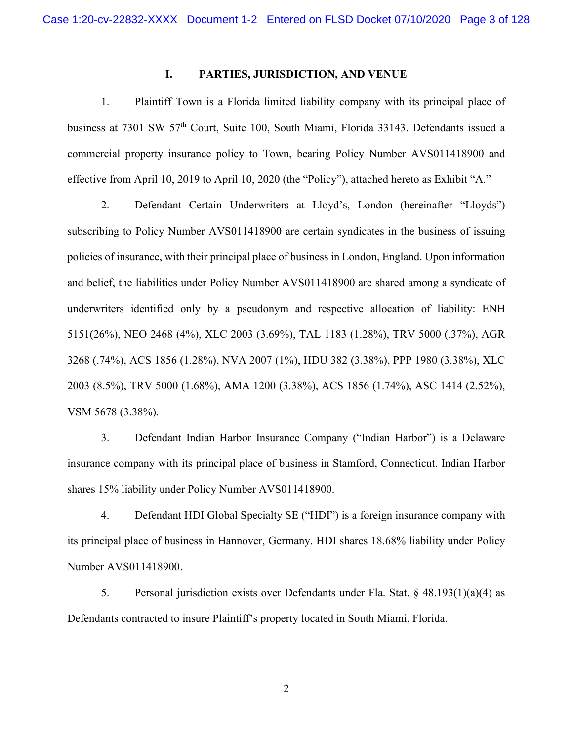### **I. PARTIES, JURISDICTION, AND VENUE**

1. Plaintiff Town is a Florida limited liability company with its principal place of business at 7301 SW 57<sup>th</sup> Court, Suite 100, South Miami, Florida 33143. Defendants issued a commercial property insurance policy to Town, bearing Policy Number AVS011418900 and effective from April 10, 2019 to April 10, 2020 (the "Policy"), attached hereto as Exhibit "A."

2. Defendant Certain Underwriters at Lloyd's, London (hereinafter "Lloyds") subscribing to Policy Number AVS011418900 are certain syndicates in the business of issuing policies of insurance, with their principal place of business in London, England. Upon information and belief, the liabilities under Policy Number AVS011418900 are shared among a syndicate of underwriters identified only by a pseudonym and respective allocation of liability: ENH 5151(26%), NEO 2468 (4%), XLC 2003 (3.69%), TAL 1183 (1.28%), TRV 5000 (.37%), AGR 3268 (.74%), ACS 1856 (1.28%), NVA 2007 (1%), HDU 382 (3.38%), PPP 1980 (3.38%), XLC 2003 (8.5%), TRV 5000 (1.68%), AMA 1200 (3.38%), ACS 1856 (1.74%), ASC 1414 (2.52%), VSM 5678 (3.38%).

3. Defendant Indian Harbor Insurance Company ("Indian Harbor") is a Delaware insurance company with its principal place of business in Stamford, Connecticut. Indian Harbor shares 15% liability under Policy Number AVS011418900.

4. Defendant HDI Global Specialty SE ("HDI") is a foreign insurance company with its principal place of business in Hannover, Germany. HDI shares 18.68% liability under Policy Number AVS011418900.

5. Personal jurisdiction exists over Defendants under Fla. Stat. § 48.193(1)(a)(4) as Defendants contracted to insure Plaintiff's property located in South Miami, Florida.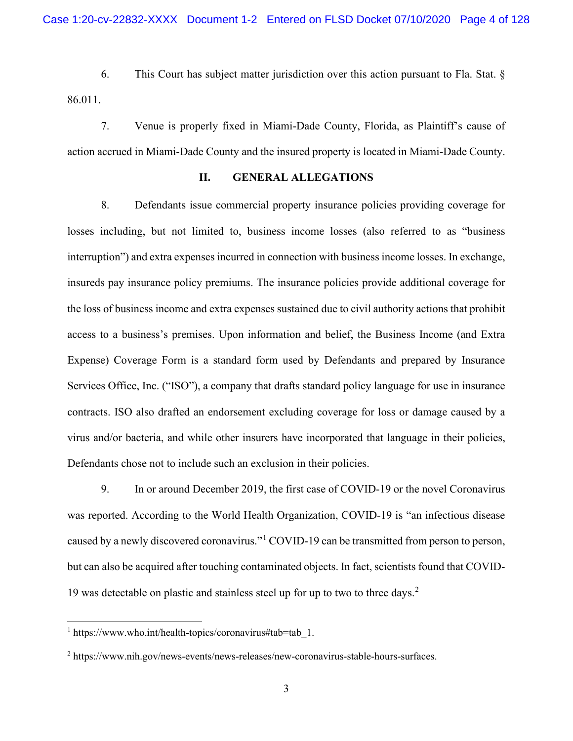6. This Court has subject matter jurisdiction over this action pursuant to Fla. Stat. § 86.011.

7. Venue is properly fixed in Miami-Dade County, Florida, as Plaintiff's cause of action accrued in Miami-Dade County and the insured property is located in Miami-Dade County.

## **II. GENERAL ALLEGATIONS**

8. Defendants issue commercial property insurance policies providing coverage for losses including, but not limited to, business income losses (also referred to as "business interruption") and extra expenses incurred in connection with business income losses. In exchange, insureds pay insurance policy premiums. The insurance policies provide additional coverage for the loss of business income and extra expenses sustained due to civil authority actions that prohibit access to a business's premises. Upon information and belief, the Business Income (and Extra Expense) Coverage Form is a standard form used by Defendants and prepared by Insurance Services Office, Inc. ("ISO"), a company that drafts standard policy language for use in insurance contracts. ISO also drafted an endorsement excluding coverage for loss or damage caused by a virus and/or bacteria, and while other insurers have incorporated that language in their policies, Defendants chose not to include such an exclusion in their policies.

9. In or around December 2019, the first case of COVID-19 or the novel Coronavirus was reported. According to the World Health Organization, COVID-19 is "an infectious disease caused by a newly discovered coronavirus."[1](#page-14-0) COVID-19 can be transmitted from person to person, but can also be acquired after touching contaminated objects. In fact, scientists found that COVID-19 was detectable on plastic and stainless steel up for up to two to three days.<sup>[2](#page-14-1)</sup>

<span id="page-14-0"></span><sup>&</sup>lt;sup>1</sup> https://www.who.int/health-topics/coronavirus#tab=tab 1.

<span id="page-14-1"></span><sup>2</sup> [https://www.nih.gov/news-events/news-releases/new-coronavirus-stable-hours-surfaces.](https://www.nih.gov/news-events/news-releases/new-coronavirus-stable-hours-surfaces)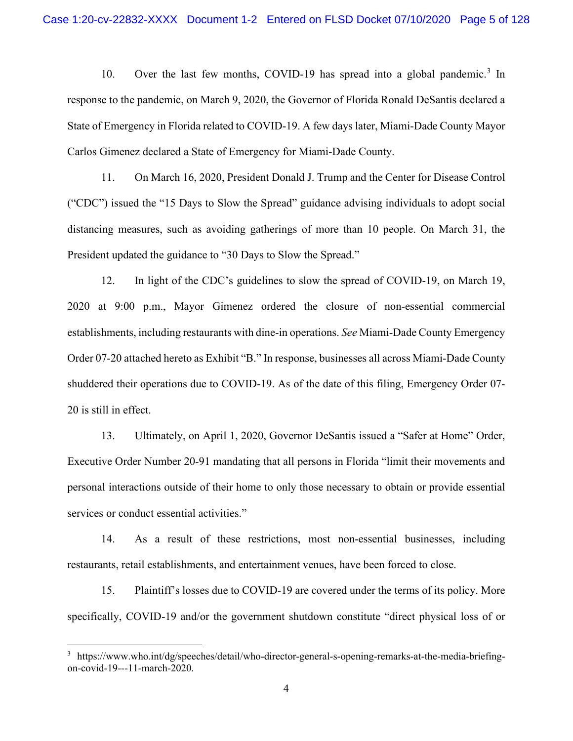10. Over the last few months, COVID-19 has spread into a global pandemic.[3](#page-15-0) In response to the pandemic, on March 9, 2020, the Governor of Florida Ronald DeSantis declared a State of Emergency in Florida related to COVID-19. A few days later, Miami-Dade County Mayor Carlos Gimenez declared a State of Emergency for Miami-Dade County.

11. On March 16, 2020, President Donald J. Trump and the Center for Disease Control ("CDC") issued the "15 Days to Slow the Spread" guidance advising individuals to adopt social distancing measures, such as avoiding gatherings of more than 10 people. On March 31, the President updated the guidance to "30 Days to Slow the Spread."

12. In light of the CDC's guidelines to slow the spread of COVID-19, on March 19, 2020 at 9:00 p.m., Mayor Gimenez ordered the closure of non-essential commercial establishments, including restaurants with dine-in operations. *See* Miami-Dade County Emergency Order 07-20 attached hereto as Exhibit "B." In response, businesses all across Miami-Dade County shuddered their operations due to COVID-19. As of the date of this filing, Emergency Order 07- 20 is still in effect.

13. Ultimately, on April 1, 2020, Governor DeSantis issued a "Safer at Home" Order, Executive Order Number 20-91 mandating that all persons in Florida "limit their movements and personal interactions outside of their home to only those necessary to obtain or provide essential services or conduct essential activities."

14. As a result of these restrictions, most non-essential businesses, including restaurants, retail establishments, and entertainment venues, have been forced to close.

15. Plaintiff's losses due to COVID-19 are covered under the terms of its policy. More specifically, COVID-19 and/or the government shutdown constitute "direct physical loss of or

<span id="page-15-0"></span><sup>3</sup> https://www.who.int/dg/speeches/detail/who-director-general-s-opening-remarks-at-the-media-briefingon-covid-19---11-march-2020.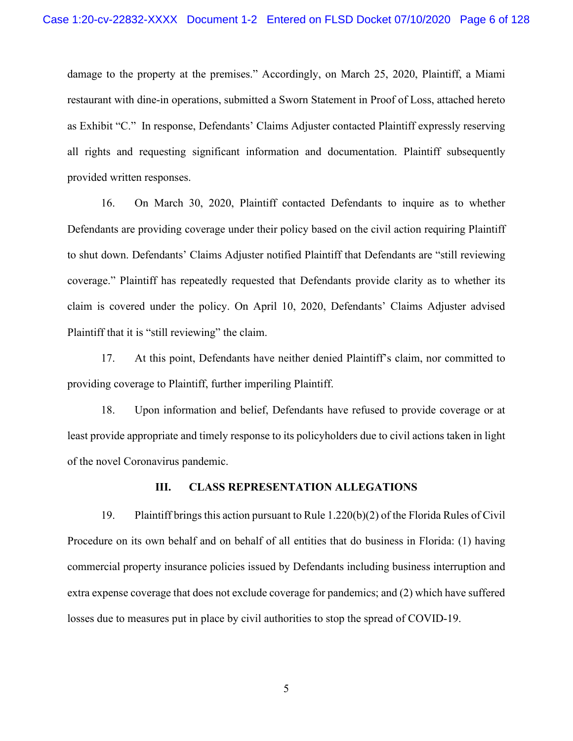damage to the property at the premises." Accordingly, on March 25, 2020, Plaintiff, a Miami restaurant with dine-in operations, submitted a Sworn Statement in Proof of Loss, attached hereto as Exhibit "C." In response, Defendants' Claims Adjuster contacted Plaintiff expressly reserving all rights and requesting significant information and documentation. Plaintiff subsequently provided written responses.

16. On March 30, 2020, Plaintiff contacted Defendants to inquire as to whether Defendants are providing coverage under their policy based on the civil action requiring Plaintiff to shut down. Defendants' Claims Adjuster notified Plaintiff that Defendants are "still reviewing coverage." Plaintiff has repeatedly requested that Defendants provide clarity as to whether its claim is covered under the policy. On April 10, 2020, Defendants' Claims Adjuster advised Plaintiff that it is "still reviewing" the claim.

17. At this point, Defendants have neither denied Plaintiff's claim, nor committed to providing coverage to Plaintiff, further imperiling Plaintiff.

18. Upon information and belief, Defendants have refused to provide coverage or at least provide appropriate and timely response to its policyholders due to civil actions taken in light of the novel Coronavirus pandemic.

## **III. CLASS REPRESENTATION ALLEGATIONS**

19. Plaintiff brings this action pursuant to Rule 1.220(b)(2) of the Florida Rules of Civil Procedure on its own behalf and on behalf of all entities that do business in Florida: (1) having commercial property insurance policies issued by Defendants including business interruption and extra expense coverage that does not exclude coverage for pandemics; and (2) which have suffered losses due to measures put in place by civil authorities to stop the spread of COVID-19.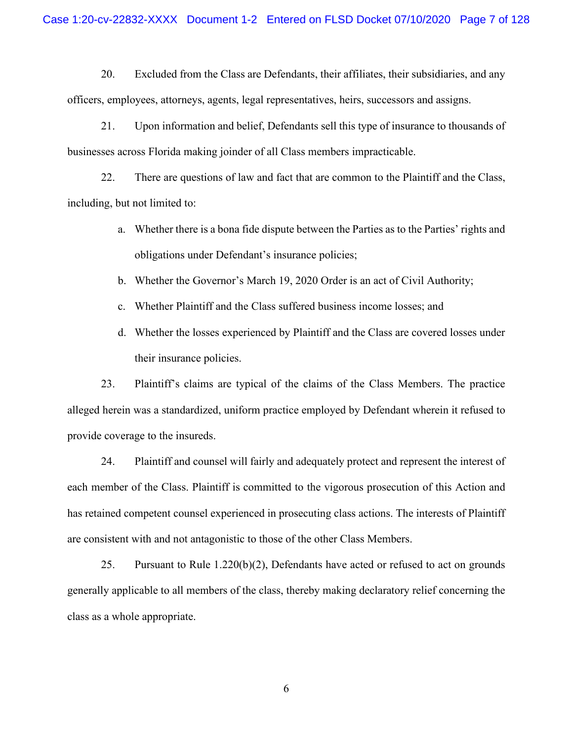20. Excluded from the Class are Defendants, their affiliates, their subsidiaries, and any officers, employees, attorneys, agents, legal representatives, heirs, successors and assigns.

21. Upon information and belief, Defendants sell this type of insurance to thousands of businesses across Florida making joinder of all Class members impracticable.

22. There are questions of law and fact that are common to the Plaintiff and the Class, including, but not limited to:

- a. Whether there is a bona fide dispute between the Parties as to the Parties' rights and obligations under Defendant's insurance policies;
- b. Whether the Governor's March 19, 2020 Order is an act of Civil Authority;
- c. Whether Plaintiff and the Class suffered business income losses; and
- d. Whether the losses experienced by Plaintiff and the Class are covered losses under their insurance policies.

23. Plaintiff's claims are typical of the claims of the Class Members. The practice alleged herein was a standardized, uniform practice employed by Defendant wherein it refused to provide coverage to the insureds.

24. Plaintiff and counsel will fairly and adequately protect and represent the interest of each member of the Class. Plaintiff is committed to the vigorous prosecution of this Action and has retained competent counsel experienced in prosecuting class actions. The interests of Plaintiff are consistent with and not antagonistic to those of the other Class Members.

25. Pursuant to Rule 1.220(b)(2), Defendants have acted or refused to act on grounds generally applicable to all members of the class, thereby making declaratory relief concerning the class as a whole appropriate.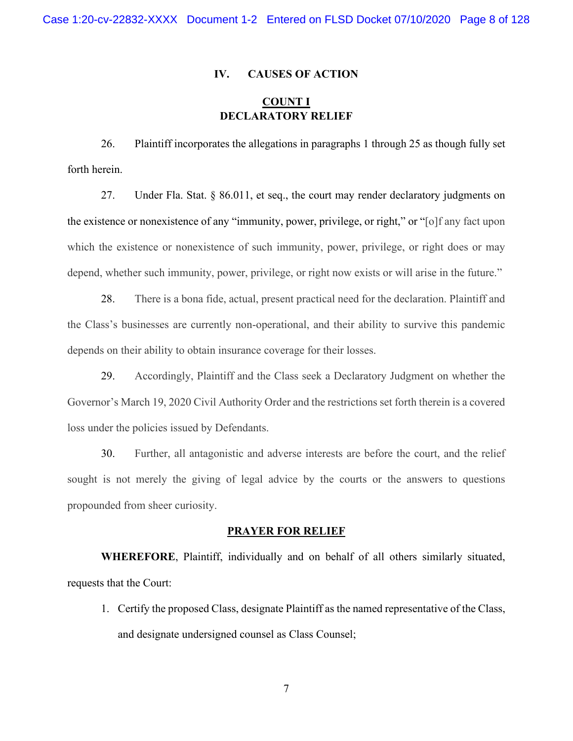#### **IV. CAUSES OF ACTION**

# **COUNT I DECLARATORY RELIEF**

26. Plaintiff incorporates the allegations in paragraphs 1 through 25 as though fully set forth herein.

27. Under Fla. Stat. § 86.011, et seq., the court may render declaratory judgments on the existence or nonexistence of any "immunity, power, privilege, or right," or "[o]f any fact upon which the existence or nonexistence of such immunity, power, privilege, or right does or may depend, whether such immunity, power, privilege, or right now exists or will arise in the future."

28. There is a bona fide, actual, present practical need for the declaration. Plaintiff and the Class's businesses are currently non-operational, and their ability to survive this pandemic depends on their ability to obtain insurance coverage for their losses.

29. Accordingly, Plaintiff and the Class seek a Declaratory Judgment on whether the Governor's March 19, 2020 Civil Authority Order and the restrictions set forth therein is a covered loss under the policies issued by Defendants.

30. Further, all antagonistic and adverse interests are before the court, and the relief sought is not merely the giving of legal advice by the courts or the answers to questions propounded from sheer curiosity.

#### **PRAYER FOR RELIEF**

**WHEREFORE**, Plaintiff, individually and on behalf of all others similarly situated, requests that the Court:

1. Certify the proposed Class, designate Plaintiff as the named representative of the Class, and designate undersigned counsel as Class Counsel;